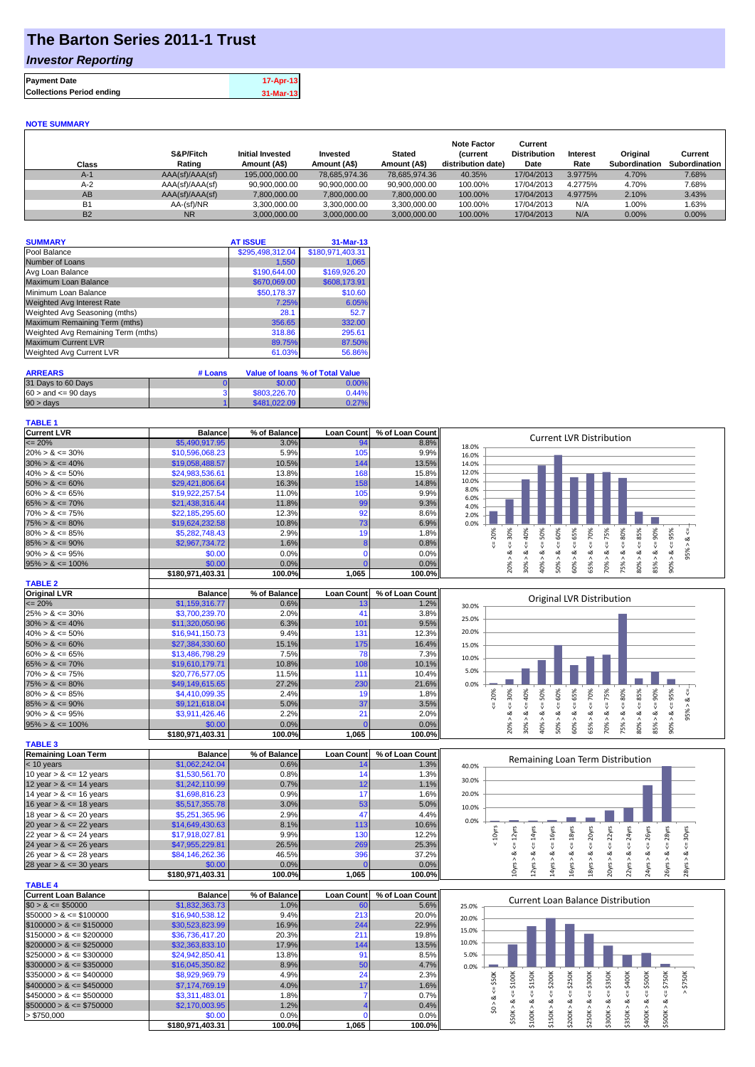# **The Barton Series 2011-1 Trust**

## *Investor Reporting*

| <b>Payment Date</b>              | 17-Apr-13 |
|----------------------------------|-----------|
| <b>Collections Period ending</b> | 31-Mar-13 |

#### **NOTE SUMMARY**

| Class     | S&P/Fitch<br>Rating | <b>Initial Invested</b><br>Amount (A\$) | Invested<br>Amount (A\$) | <b>Stated</b><br>Amount (A\$) | <b>Note Factor</b><br><i>(current</i><br>distribution date) | Current<br><b>Distribution</b><br>Date | <b>Interest</b><br>Rate | Original<br>Subordination | Current<br><b>Subordination</b> |
|-----------|---------------------|-----------------------------------------|--------------------------|-------------------------------|-------------------------------------------------------------|----------------------------------------|-------------------------|---------------------------|---------------------------------|
| $A-1$     | AAA(sf)/AAA(sf)     | 195,000,000,00                          | 78.685.974.36            | 78.685.974.36                 | 40.35%                                                      | 17/04/2013                             | 3.9775%                 | 4.70%                     | 7.68%                           |
| $A-2$     | AAA(sf)/AAA(sf)     | 90,900,000.00                           | 90,900,000.00            | 90,900,000.00                 | 100.00%                                                     | 17/04/2013                             | 4.2775%                 | 4.70%                     | 7.68%                           |
| AB        | AAA(sf)/AAA(sf)     | 7,800,000.00                            | 7,800,000.00             | 7,800,000.00                  | 100.00%                                                     | 17/04/2013                             | 4.9775%                 | 2.10%                     | 3.43%                           |
| <b>B1</b> | AA-(sf)/NR          | 3.300.000.00                            | 3,300,000.00             | 3,300,000.00                  | 100.00%                                                     | 17/04/2013                             | N/A                     | 1.00%                     | 1.63%                           |
| <b>B2</b> | <b>NR</b>           | 3.000.000.00                            | 3,000,000.00             | 3,000,000.00                  | 100.00%                                                     | 17/04/2013                             | N/A                     | 0.00%                     | $0.00\%$                        |

| <b>SUMMARY</b>                     | <b>AT ISSUE</b>  | 31-Mar-13        |
|------------------------------------|------------------|------------------|
| Pool Balance                       | \$295,498,312.04 | \$180,971,403.31 |
| Number of Loans                    | 1.550            | 1,065            |
| Avg Loan Balance                   | \$190,644.00     | \$169,926.20     |
| Maximum Loan Balance               | \$670,069.00     | \$608,173.91     |
| Minimum Loan Balance               | \$50,178.37      | \$10.60          |
| <b>Weighted Avg Interest Rate</b>  | 7.25%            | 6.05%            |
| Weighted Avg Seasoning (mths)      | 28.1             | 52.7             |
| Maximum Remaining Term (mths)      | 356.65           | 332.00           |
| Weighted Avg Remaining Term (mths) | 318.86           | 295.61           |
| <b>Maximum Current LVR</b>         | 89.75%           | 87.50%           |
| <b>Weighted Avg Current LVR</b>    | 61.03%           | 56.86%           |

| <b>ARREARS</b>            | # Loans |              | Value of Ioans % of Total Value |
|---------------------------|---------|--------------|---------------------------------|
| 31 Days to 60 Days        |         | \$0.00       | 0.00%                           |
| $60 >$ and $\leq 90$ days |         | \$803,226.70 | 0.44%                           |
| $90 > \text{days}$        |         | \$481,022,09 | 0.27%                           |

### **TABLE 1**

| <b>Current LVR</b>   | <b>Balance</b>   | % of Balance | <b>Loan Count</b> | % of Loan Count | <b>Current LVR Distribution</b>                     |
|----------------------|------------------|--------------|-------------------|-----------------|-----------------------------------------------------|
| $\leq$ 20%           | \$5,490,917.95   | 3.0%         | 94                | 8.8%            | 18.0%                                               |
| $20\% > 8 \le 30\%$  | \$10,596,068.23  | 5.9%         | 105               | 9.9%            | 16.0%                                               |
| $30\% > 8 \le 40\%$  | \$19,058,488.57  | 10.5%        | 144               | 13.5%           | 14.0%                                               |
| $40\% > 8 \le 50\%$  | \$24,983,536.61  | 13.8%        | 168               | 15.8%           | 12.0%                                               |
| $50\% > 8 \le 60\%$  | \$29,421,806.64  | 16.3%        | 158               | 14.8%           | 10.0%                                               |
| $60\% > 8 \le 65\%$  | \$19,922,257.54  | 11.0%        | 105               | 9.9%            | 8.0%<br>6.0%                                        |
| $65\% > 8 \le 70\%$  | \$21,438,316,44  | 11.8%        | 99                | 9.3%            | 4.0%                                                |
| $70\% > 8 \le 75\%$  | \$22,185,295.60  | 12.3%        | 92                | 8.6%            | 2.0%                                                |
| $75\% > 8 \le 80\%$  | \$19,624,232,58  | 10.8%        | 731               | 6.9%            | 0.0%                                                |
| $80\% > 8 \le 85\%$  | \$5,282,748.43   | 2.9%         | 19                | 1.8%            | ≫<br>Š<br>Ò<br>in<br>20<br>◠<br>ᠬ                   |
| $85\% > 8 \le 90\%$  | \$2,967,734,72   | 1.6%         |                   | 0.8%            |                                                     |
| $90\% > 8 \le 95\%$  | \$0.00           | 0.0%         |                   | 0.0%            | ಂಶ<br>$\sigma$                                      |
| $95\% > 8 \le 100\%$ | \$0.00           | 0.0%         |                   | 0.0%            | 60%<br>20%<br>ž,<br>ê,<br>ន្ថិ<br>္တိ<br>స్లే<br>ĩn |
|                      | \$180,971,403.31 | 100.0%       | 1,065             | 100.0%          | 80<br>ă<br>$\bar{\infty}$<br>∼                      |
| <b>TABLE 2</b>       |                  |              |                   |                 |                                                     |
|                      |                  |              |                   |                 |                                                     |

| Original LVR         | <b>Balance</b>         | % of Balance |         | Loan Count % of Loan Count |       |     |     |   |  | Original LVR Distribution |  |   |  |
|----------------------|------------------------|--------------|---------|----------------------------|-------|-----|-----|---|--|---------------------------|--|---|--|
| $\leq$ 20%           | \$1,159,316.77         | 0.6%         |         | 1.2%                       | 30.0% |     |     |   |  |                           |  |   |  |
| $25\% > 8 \le 30\%$  | \$3,700,239,70         | 2.0%         | 41      | 3.8%                       | 25.0% |     |     |   |  |                           |  |   |  |
| $30\% > 8 \le 40\%$  | \$11,320,050.96        | 6.3%         | 101     | 9.5%                       |       |     |     |   |  |                           |  |   |  |
| $40\% > 8 \le 50\%$  | \$16,941,150.73        | 9.4%         | 131     | 12.3%                      | 20.0% |     |     |   |  |                           |  |   |  |
| $50\% > 8 \le 60\%$  | \$27,384,330,60        | 15.1%        | 175     | 16.4%                      | 15.0% |     |     |   |  |                           |  |   |  |
| $60\% > 8 \le 65\%$  | \$13,486,798.29        | 7.5%         | 78      | 7.3%                       | 10.0% |     |     |   |  |                           |  |   |  |
| $65\% > 8 \le 70\%$  | \$19,610,179.71        | 10.8%        | 108     | 10.1%                      |       |     |     |   |  |                           |  |   |  |
| $70\% > 8 \le 75\%$  | \$20,776,577.05        | 11.5%        | 111     | 10.4%                      | 5.0%  |     |     |   |  |                           |  |   |  |
| $75\% > 8 \le 80\%$  | \$49,149,615.65        | 27.2%        | 230     | 21.6%                      | 0.0%  |     |     |   |  |                           |  |   |  |
| $80\% > 8 \le 85\%$  | \$4,410,099.35         | 2.4%         | 19      | 1.8%                       |       | 20% | 50% | ိ |  |                           |  | ℅ |  |
| $85\% > 8 \le 90\%$  | \$9.121.618.04         | 5.0%         | 37      | 3.5%                       |       |     |     |   |  |                           |  |   |  |
| $90\% > 8 \le 95\%$  | \$3.911.426.46         | 2.2%         | 21      | 2.0%                       |       |     |     |   |  |                           |  | ∞ |  |
| $95\% > 8 \le 100\%$ | \$0.00                 | 0.0%         |         | 0.0%                       |       |     |     |   |  |                           |  |   |  |
|                      | <b>CARD 074 402.24</b> | 400.001      | $A$ OCE | 400.001                    |       |     |     |   |  |                           |  |   |  |

|                            | \$180.971.403.31 | 100.0%       | 1,065             | 100.0%ll        |  |
|----------------------------|------------------|--------------|-------------------|-----------------|--|
| <b>TABLE 3</b>             |                  |              |                   |                 |  |
| <b>Remaining Loan Term</b> | <b>Balance</b>   | % of Balance | <b>Loan Count</b> | % of Loan Count |  |
| $<$ 10 years               | \$1,062,242.04   | 0.6%         | 14                | 1.3%            |  |
| 10 year $> 8 \le 12$ years | \$1,530,561.70   | 0.8%         | 14                | 1.3%            |  |
| 12 year $> 8 \le 14$ years | \$1,242,110.99   | 0.7%         | 12                | 1.1%            |  |
| 14 year $> 8 \le 16$ years | \$1,698,816.23   | 0.9%         | 17                | 1.6%            |  |
| 16 year $> 8 \le 18$ years | \$5,517,355,78   | 3.0%         | 53                | 5.0%            |  |
| 18 year $> 8 \le 20$ years | \$5,251,365.96   | 2.9%         | 47                | 4.4%            |  |
| 20 year $> 8 \le 22$ years | \$14,649,430.63  | 8.1%         | 113               | 10.6%           |  |
| 22 year $> 8 \le 24$ years | \$17,918,027.81  | 9.9%         | 130               | 12.2%           |  |
| 24 year $> 8 \le 26$ years | \$47.955.229.81  | 26.5%        | 269               | 25.3%           |  |
| 26 year $> 8 \le 28$ years | \$84,146,262.36  | 46.5%        | 396               | 37.2%           |  |
| 28 year $> 8 \le 30$ years | \$0.00           | 0.0%         |                   | 0.0%            |  |
|                            | \$180.971.403.31 | 100.0%       | 1,065             | 100.0%          |  |

| <b>TABLE 4</b>               |                  |              |                   |                 |
|------------------------------|------------------|--------------|-------------------|-----------------|
| <b>Current Loan Balance</b>  | <b>Balance</b>   | % of Balance | <b>Loan Count</b> | % of Loan Count |
| $$0 > 8 \leq $50000$         | \$1,832,363.73   | 1.0%         | 60                | 5.6%            |
| $\$50000 > 8 \leq \$100000$  | \$16,940,538.12  | 9.4%         | 213               | 20.0%           |
| $$100000 > 8 \leq $150000$   | \$30,523,823,99  | 16.9%        | 244               | 22.9%           |
| $$150000 > 8 \leq $200000$   | \$36,736,417.20  | 20.3%        | 211               | 19.8%           |
| $$200000 > 8 \leq $250000$   | \$32,363,833,10  | 17.9%        | 144               | 13.5%           |
| $$250000 > 8 \leq $300000$   | \$24,942,850.41  | 13.8%        | 91                | 8.5%            |
| $$300000 > 8 \leq $350000$   | \$16,045,350,82  | 8.9%         | 50                | 4.7%            |
| $\$350000 > 8 \leq \$400000$ | \$8,929,969.79   | 4.9%         | 24                | 2.3%            |
| $$400000 > 8 \leq $450000$   | \$7,174,769.19   | 4.0%         | 17                | 1.6%            |
| $$450000 > 8 \leq $500000$   | \$3,311,483.01   | 1.8%         |                   | 0.7%            |
| $$500000 > 8 \leq $750000$   | \$2,170,003.95   | 1.2%         |                   | 0.4%            |
| > \$750.000                  | \$0.00           | 0.0%         |                   | 0.0%            |
|                              | \$180.971.403.31 | 100.0%       | 1,065             | 100.0%          |